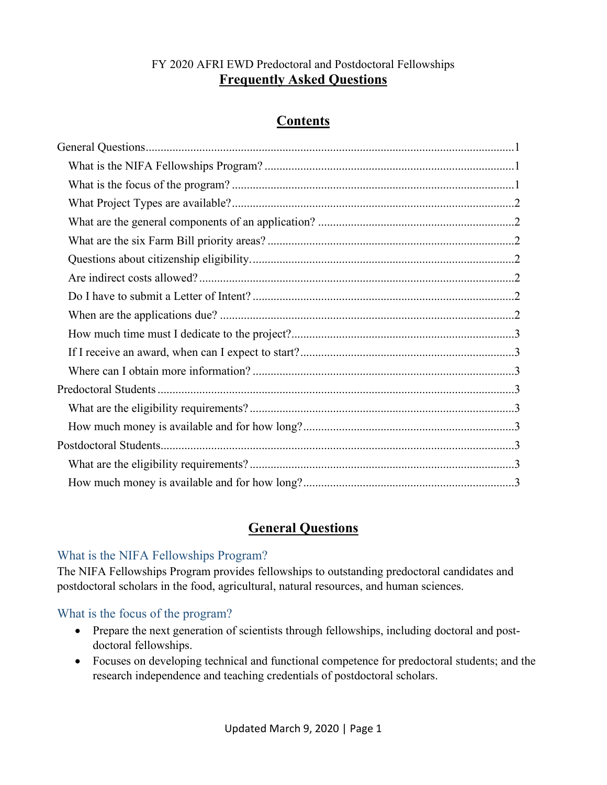### FY 2020 AFRI EWD Predoctoral and Postdoctoral Fellowships **Frequently Asked Questions**

# **Contents**

# **General Questions**

### <span id="page-0-1"></span><span id="page-0-0"></span>What is the NIFA Fellowships Program?

The NIFA Fellowships Program provides fellowships to outstanding predoctoral candidates and postdoctoral scholars in the food, agricultural, natural resources, and human sciences.

<span id="page-0-2"></span>What is the focus of the program?

- Prepare the next generation of scientists through fellowships, including doctoral and postdoctoral fellowships.
- Focuses on developing technical and functional competence for predoctoral students; and the research independence and teaching credentials of postdoctoral scholars.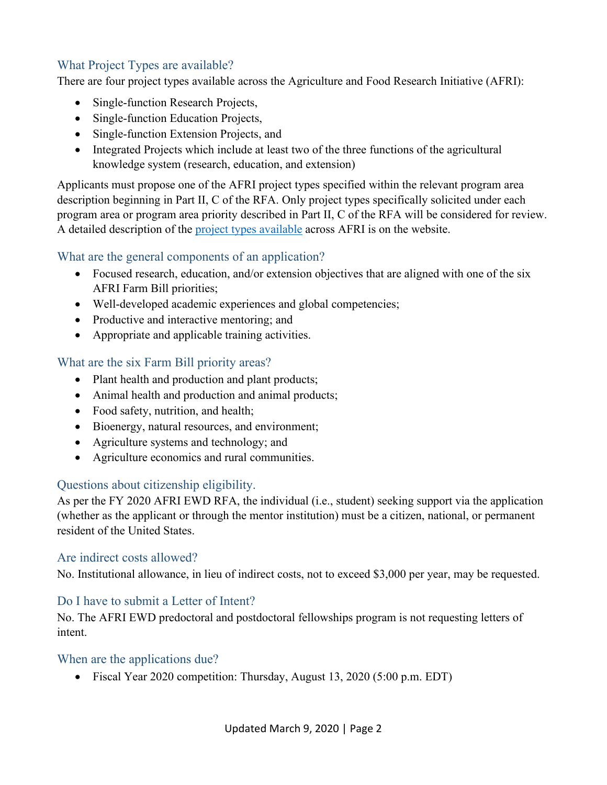# <span id="page-1-0"></span>What Project Types are available?

There are four project types available across the Agriculture and Food Research Initiative (AFRI):

- Single-function Research Projects,
- Single-function Education Projects,
- Single-function Extension Projects, and
- Integrated Projects which include at least two of the three functions of the agricultural knowledge system (research, education, and extension)

Applicants must propose one of the AFRI project types specified within the relevant program area description beginning in Part II, C of the RFA. Only project types specifically solicited under each program area or program area priority described in Part II, C of the RFA will be considered for review. A detailed description of the [project types available](https://nifa.usda.gov/sites/default/files/resource/AFRI-Project-Types.pdf) across AFRI is on the website.

### <span id="page-1-1"></span>What are the general components of an application?

- Focused research, education, and/or extension objectives that are aligned with one of the six AFRI Farm Bill priorities;
- Well-developed academic experiences and global competencies;
- Productive and interactive mentoring; and
- Appropriate and applicable training activities.

# <span id="page-1-2"></span>What are the six Farm Bill priority areas?

- Plant health and production and plant products;
- Animal health and production and animal products;
- Food safety, nutrition, and health;
- Bioenergy, natural resources, and environment;
- Agriculture systems and technology; and
- Agriculture economics and rural communities.

### <span id="page-1-3"></span>Questions about citizenship eligibility.

As per the FY 2020 AFRI EWD RFA, the individual (i.e., student) seeking support via the application (whether as the applicant or through the mentor institution) must be a citizen, national, or permanent resident of the United States.

### <span id="page-1-4"></span>Are indirect costs allowed?

No. Institutional allowance, in lieu of indirect costs, not to exceed \$3,000 per year, may be requested.

### <span id="page-1-5"></span>Do I have to submit a Letter of Intent?

No. The AFRI EWD predoctoral and postdoctoral fellowships program is not requesting letters of intent.

### <span id="page-1-6"></span>When are the applications due?

• Fiscal Year 2020 competition: Thursday, August 13, 2020 (5:00 p.m. EDT)